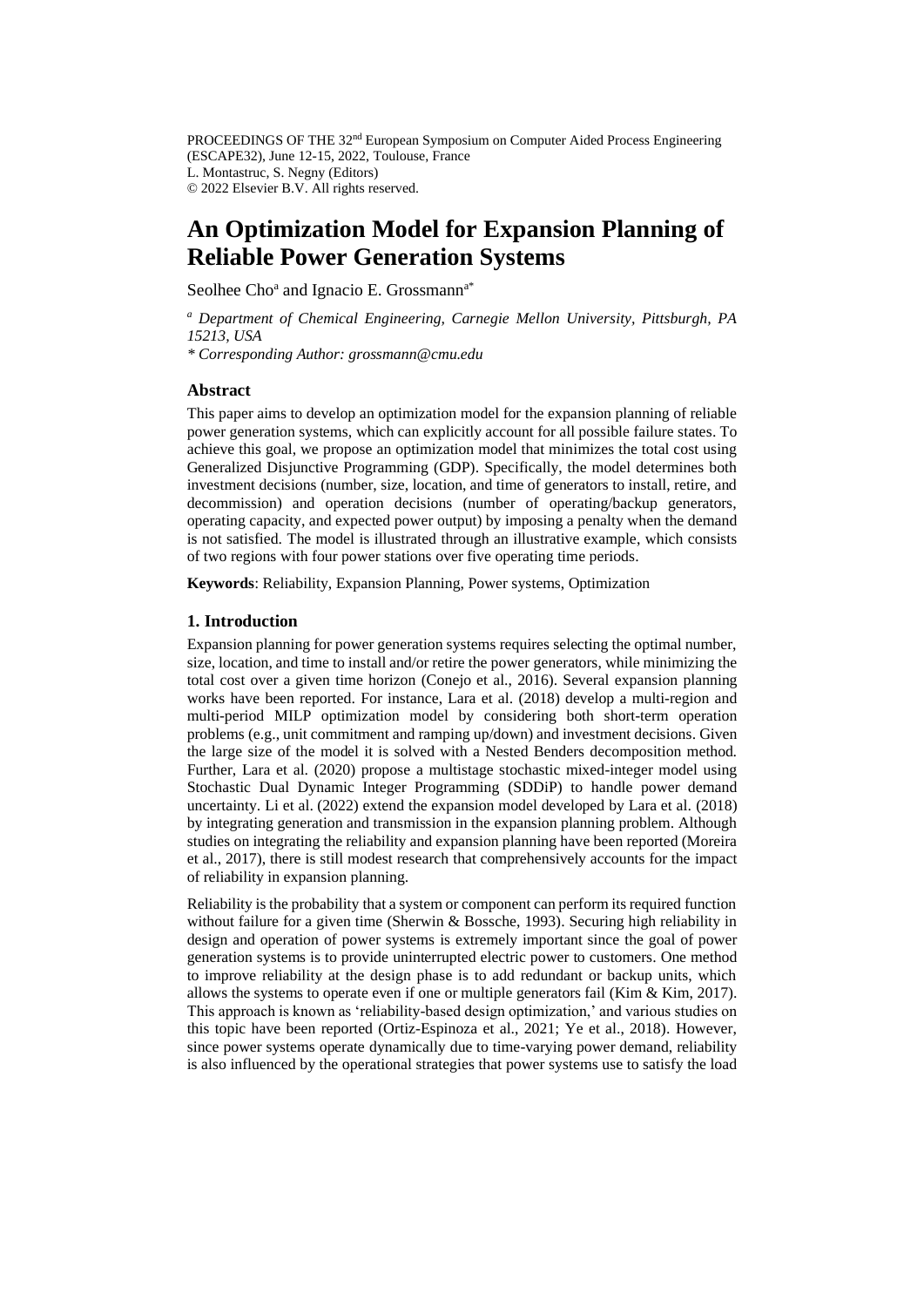PROCEEDINGS OF THE 32<sup>nd</sup> European Symposium on Computer Aided Process Engineering (ESCAPE32), June 12-15, 2022, Toulouse, France L. Montastruc, S. Negny (Editors) © 2022 Elsevier B.V. All rights reserved.

# **An Optimization Model for Expansion Planning of Reliable Power Generation Systems**

Seolhee Cho<sup>a</sup> and Ignacio E. Grossmann<sup>a\*</sup>

*<sup>a</sup> Department of Chemical Engineering, Carnegie Mellon University, Pittsburgh, PA 15213, USA*

*\* Corresponding Author: grossmann@cmu.edu*

## **Abstract**

This paper aims to develop an optimization model for the expansion planning of reliable power generation systems, which can explicitly account for all possible failure states. To achieve this goal, we propose an optimization model that minimizes the total cost using Generalized Disjunctive Programming (GDP). Specifically, the model determines both investment decisions (number, size, location, and time of generators to install, retire, and decommission) and operation decisions (number of operating/backup generators, operating capacity, and expected power output) by imposing a penalty when the demand is not satisfied. The model is illustrated through an illustrative example, which consists of two regions with four power stations over five operating time periods.

**Keywords**: Reliability, Expansion Planning, Power systems, Optimization

## **1. Introduction**

Expansion planning for power generation systems requires selecting the optimal number, size, location, and time to install and/or retire the power generators, while minimizing the total cost over a given time horizon (Conejo et al., 2016). Several expansion planning works have been reported. For instance, Lara et al. (2018) develop a multi-region and multi-period MILP optimization model by considering both short-term operation problems (e.g., unit commitment and ramping up/down) and investment decisions. Given the large size of the model it is solved with a Nested Benders decomposition method. Further, Lara et al. (2020) propose a multistage stochastic mixed-integer model using Stochastic Dual Dynamic Integer Programming (SDDiP) to handle power demand uncertainty. Li et al. (2022) extend the expansion model developed by Lara et al. (2018) by integrating generation and transmission in the expansion planning problem. Although studies on integrating the reliability and expansion planning have been reported (Moreira et al., 2017), there is still modest research that comprehensively accounts for the impact of reliability in expansion planning.

Reliability is the probability that a system or component can perform its required function without failure for a given time (Sherwin & Bossche, 1993). Securing high reliability in design and operation of power systems is extremely important since the goal of power generation systems is to provide uninterrupted electric power to customers. One method to improve reliability at the design phase is to add redundant or backup units, which allows the systems to operate even if one or multiple generators fail (Kim & Kim, 2017). This approach is known as 'reliability-based design optimization,' and various studies on this topic have been reported (Ortiz-Espinoza et al., 2021; Ye et al., 2018). However, since power systems operate dynamically due to time-varying power demand, reliability is also influenced by the operational strategies that power systems use to satisfy the load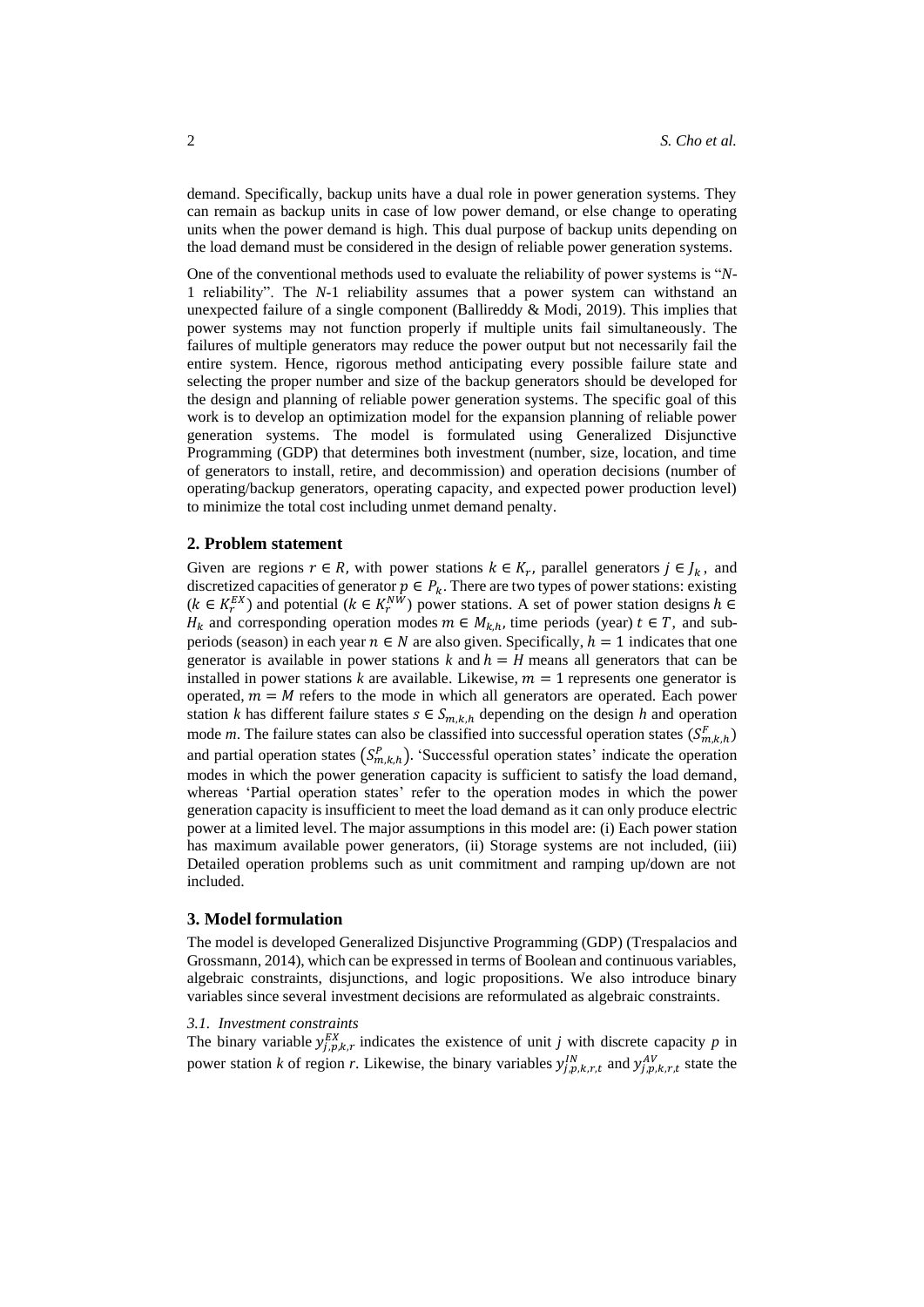demand. Specifically, backup units have a dual role in power generation systems. They can remain as backup units in case of low power demand, or else change to operating units when the power demand is high. This dual purpose of backup units depending on the load demand must be considered in the design of reliable power generation systems.

One of the conventional methods used to evaluate the reliability of power systems is "*N*-1 reliability". The *N-*1 reliability assumes that a power system can withstand an unexpected failure of a single component (Ballireddy  $\&$  Modi, 2019). This implies that power systems may not function properly if multiple units fail simultaneously. The failures of multiple generators may reduce the power output but not necessarily fail the entire system. Hence, rigorous method anticipating every possible failure state and selecting the proper number and size of the backup generators should be developed for the design and planning of reliable power generation systems. The specific goal of this work is to develop an optimization model for the expansion planning of reliable power generation systems. The model is formulated using Generalized Disjunctive Programming (GDP) that determines both investment (number, size, location, and time of generators to install, retire, and decommission) and operation decisions (number of operating/backup generators, operating capacity, and expected power production level) to minimize the total cost including unmet demand penalty.

## **2. Problem statement**

Given are regions  $r \in R$ , with power stations  $k \in K_r$ , parallel generators  $j \in J_k$ , and discretized capacities of generator  $p \in P_k$ . There are two types of power stations: existing  $(k \in K_r^{EX})$  and potential  $(k \in K_r^{NW})$  power stations. A set of power station designs  $h \in$  $H_k$  and corresponding operation modes  $m \in M_{k,h}$ , time periods (year)  $t \in T$ , and subperiods (season) in each year  $n \in N$  are also given. Specifically,  $h = 1$  indicates that one generator is available in power stations  $k$  and  $h = H$  means all generators that can be installed in power stations *k* are available. Likewise,  $m = 1$  represents one generator is operated,  $m = M$  refers to the mode in which all generators are operated. Each power station *k* has different failure states  $s \in S_{m,k,h}$  depending on the design *h* and operation mode *m*. The failure states can also be classified into successful operation states  $(S_{m,k,h}^F)$ and partial operation states  $(S_{m,k,h}^P)$ . 'Successful operation states' indicate the operation modes in which the power generation capacity is sufficient to satisfy the load demand, whereas 'Partial operation states' refer to the operation modes in which the power generation capacity is insufficient to meet the load demand as it can only produce electric power at a limited level. The major assumptions in this model are: (i) Each power station has maximum available power generators, (ii) Storage systems are not included, (iii) Detailed operation problems such as unit commitment and ramping up/down are not included.

## **3. Model formulation**

The model is developed Generalized Disjunctive Programming (GDP) (Trespalacios and Grossmann, 2014), which can be expressed in terms of Boolean and continuous variables, algebraic constraints, disjunctions, and logic propositions. We also introduce binary variables since several investment decisions are reformulated as algebraic constraints.

#### *3.1. Investment constraints*

The binary variable  $y_{j,p,k,r}^{EX}$  indicates the existence of unit *j* with discrete capacity *p* in power station *k* of region *r*. Likewise, the binary variables  $y_{j,p,k,r,t}^{IN}$  and  $y_{j,p,k,r,t}^{AV}$  state the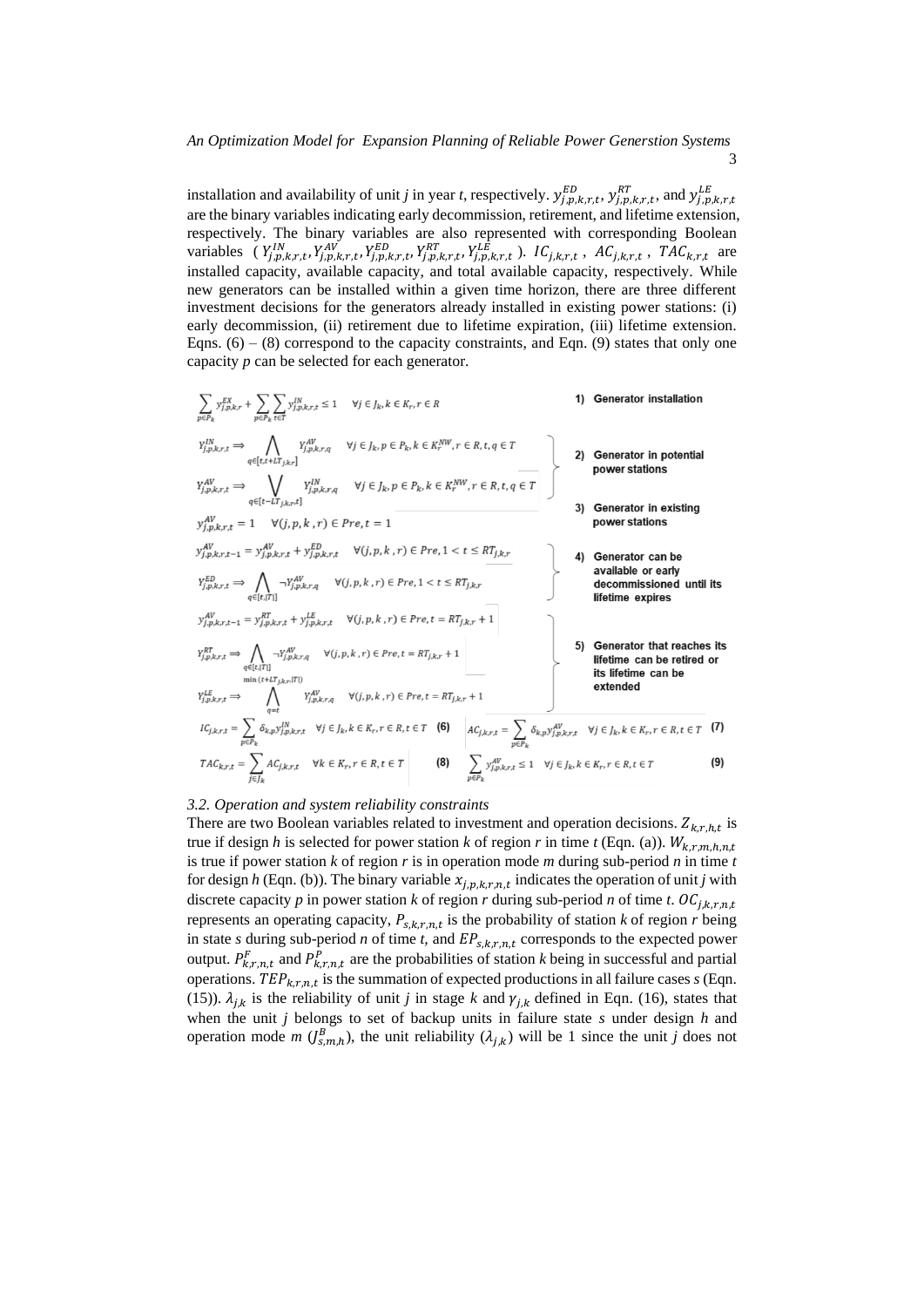# *An Optimization Model for Expansion Planning of Reliable Power Generstion Systems*

3

installation and availability of unit *j* in year *t*, respectively.  $y_{j,p,k,r,t}^{ED}$ ,  $y_{j,p,k,r,t}^{RT}$ , and  $y_{j,p,k,r,t}^{LE}$ are the binary variables indicating early decommission, retirement, and lifetime extension, respectively. The binary variables are also represented with corresponding Boolean variables ( $Y_{j,p,k,r,t}^{IN}$ ,  $Y_{j,p,k,r,t}^{AV}$ ,  $Y_{j,p,k,r,t}^{ED}$ ,  $Y_{j,p,k,r,t}^{RT}$ ,  $Y_{j,p,k,r,t}^{LE}$ ,  $IC_{j,k,r,t}$ ,  $AC_{j,k,r,t}$ ,  $TAC_{k,r,t}$  are installed capacity, available capacity, and total available capacity, respectively. While new generators can be installed within a given time horizon, there are three different investment decisions for the generators already installed in existing power stations: (i) early decommission, (ii) retirement due to lifetime expiration, (iii) lifetime extension. Eqns.  $(6) - (8)$  correspond to the capacity constraints, and Eqn. (9) states that only one capacity *p* can be selected for each generator.

$$
\sum_{p \in P_k} y_{j,p,k,r,t}^{EX} \rightarrow \sum_{p \in P_k} y_{j,p,k,r,t}^{AN} \leq 1 \quad \forall j \in J_k, k \in K_r, r \in R
$$
\n1) **Generator installation**\n
$$
Y_{j,p,k,r,t}^{IN} \Rightarrow \bigwedge_{q \in [t,t+IT_{j,k,r}]} Y_{j,p,k,r,q}^{AN} \quad \forall j \in J_k, p \in P_k, k \in K_r^{NW}, r \in R, t, q \in T
$$
\n
$$
Y_{j,p,k,r,t}^{AV} \Rightarrow \bigvee_{q \in [t-IT_{j,k,r}]} Y_{j,p,k,r,t}^{IN} \quad \forall j \in J_k, p \in P_k, k \in K_r^{NW}, r \in R, t, q \in T
$$
\n2) **Generator in potential power stations**\n3) **Generator in existing power stations**\n4) **Generator can be**\n
$$
Y_{j,p,k,r,t}^{IV} \Rightarrow \bigwedge_{q \in [t,T]} Y_{j,p,k,r,t}^{IV} \quad \forall (j,p,k,r) \in Pre, 1 < t \leq RT_{j,k,r}
$$
\n
$$
Y_{j,p,k,r,t}^{IV} \Rightarrow \bigwedge_{q \in [t,T]} Y_{j,p,k,r,t}^{AV} \quad \forall (j,p,k,r) \in Pre, t = RT_{j,k,r} + 1
$$
\n
$$
Y_{j,p,k,r,t}^{IV} \Rightarrow \bigwedge_{q \in [t,T]} Y_{j,p,k,r,t}^{AV} \quad \forall (j,p,k,r) \in Pre, t = RT_{j,k,r} + 1
$$
\n
$$
Y_{j,p,k,r,t}^{IV} \Rightarrow \bigwedge_{q \in [t,T]} Y_{j,p,k,r,t}^{AV} \quad \forall (j,p,k,r) \in Pre, t = RT_{j,k,r} + 1
$$
\n
$$
Y_{j,p,k,r,t}^{IV} \Rightarrow \bigwedge_{q \in [t,T]} Y_{j,p,k,r,t}^{AV} \quad \forall (j,p,k,r) \in Pre, t = RT_{j,k,r} + 1
$$
\n
$$
I_{C_{j,k,r,t} \in \sum_{p \in P_k} \delta_{k,p} y_{j,p,k,r,t}^{IN} \quad \forall (j,p,k,r) \in Pre, t \in T \quad \text{(6)} \quad A_{C_{j,k,r,t} \in \sum_{p \in P_k} \delta_{k,p} y_{j,p,k,r,t}^{
$$

## *3.2. Operation and system reliability constraints*

There are two Boolean variables related to investment and operation decisions.  $Z_{k,r,h,t}$  is true if design *h* is selected for power station *k* of region *r* in time *t* (Eqn. (a)).  $W_{k,r,m,h,n,t}$ is true if power station *k* of region *r* is in operation mode *m* during sub-period *n* in time *t* for design *h* (Eqn. (b)). The binary variable  $x_{j,p,k,r,n,t}$  indicates the operation of unit *j* with discrete capacity *p* in power station *k* of region *r* during sub-period *n* of time *t*.  $OC_{i,k,r,n,t}$ represents an operating capacity,  $P_{s,k,r,n,t}$  is the probability of station *k* of region *r* being in state *s* during sub-period *n* of time *t*, and  $EP_{s,k,r,n,t}$  corresponds to the expected power output.  $P_{k,r,n,t}^F$  and  $P_{k,r,n,t}^P$  are the probabilities of station *k* being in successful and partial operations.  $TEP_{k,r,n,t}$  is the summation of expected productions in all failure cases  $s$  (Eqn. (15)).  $\lambda_{i,k}$  is the reliability of unit *j* in stage *k* and  $\gamma_{i,k}$  defined in Eqn. (16), states that when the unit *j* belongs to set of backup units in failure state *s* under design *h* and operation mode *m* ( $J_{s,m,h}^B$ ), the unit reliability ( $\lambda_{j,k}$ ) will be 1 since the unit *j* does not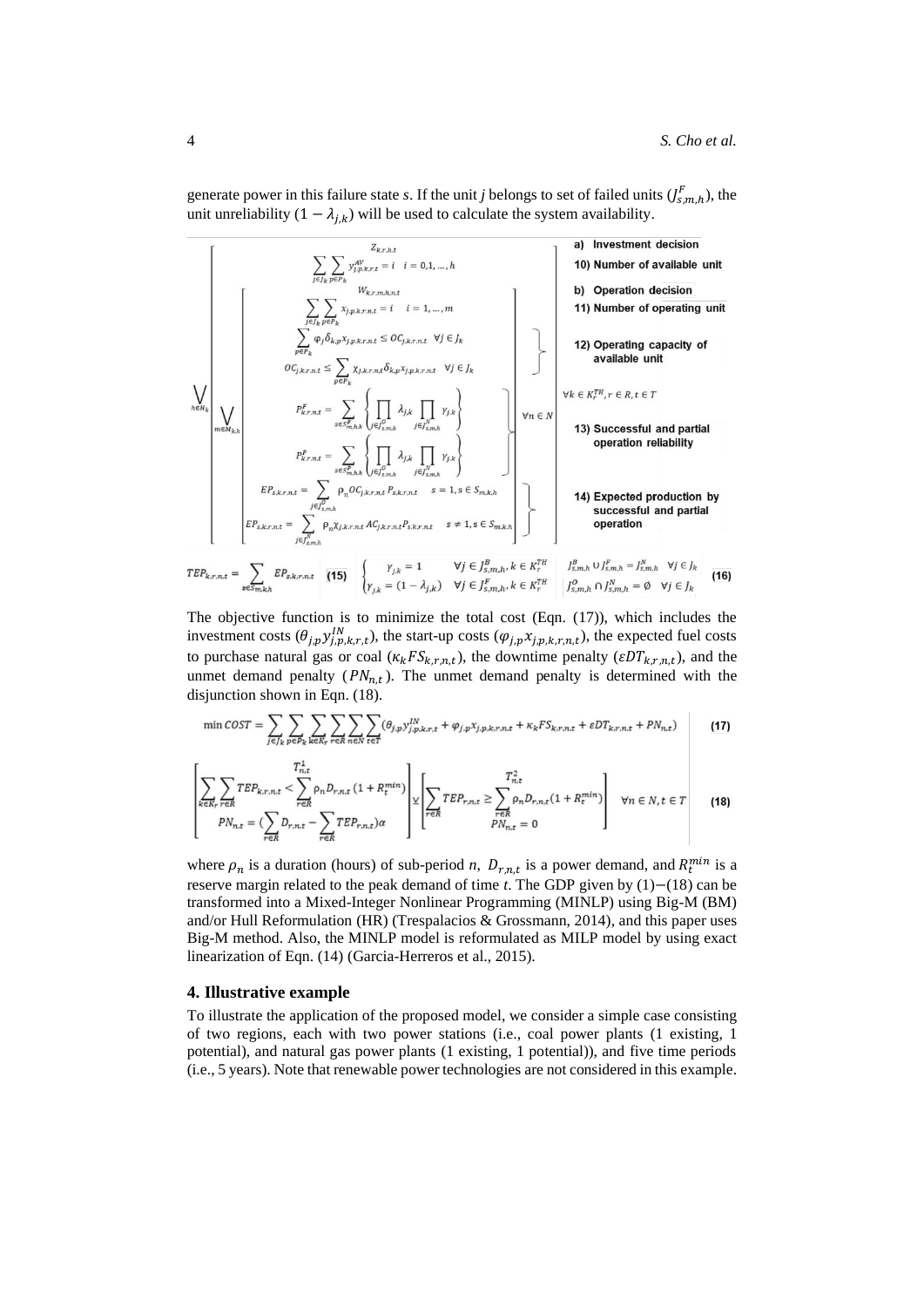generate power in this failure state *s*. If the unit *j* belongs to set of failed units  $(\int_{s,m,h}^F)$ , the unit unreliability  $(1 - \lambda_{i,k})$  will be used to calculate the system availability.

| $\sum_{j \in J_k} \sum_{p \in P_k} y_{j, k, r, n, t}^{X_{k, r}} = i \quad i = 0, 1, ..., h$                                                                                                                                                                                                                                                                                                                                                                                                                                                                                                                       | a) Investment decision                           |
|-------------------------------------------------------------------------------------------------------------------------------------------------------------------------------------------------------------------------------------------------------------------------------------------------------------------------------------------------------------------------------------------------------------------------------------------------------------------------------------------------------------------------------------------------------------------------------------------------------------------|--------------------------------------------------|
| $\sum_{j \in J_k} \sum_{p \in P_k} y_{j, k, r, n, t}^{X_{j, r, n, n, n, t}} = i \quad i = 1, ..., m$                                                                                                                                                                                                                                                                                                                                                                                                                                                                                                              | b) Operation decision                            |
| $\sum_{p \in P_k} \sum_{p \in P_k} x_{j, p, k, r, n, t} \leq OC_{j, k, r, n, t} \quad \forall j \in J_k$                                                                                                                                                                                                                                                                                                                                                                                                                                                                                                          | 12) Operating capacity of available unit         |
| $\sum_{p \in N_{k,k}} \sum_{p \in P_k} x_{j, p, k, r, n, t} \leq \sum_{p \in P_k} \chi_{j, k, r, n, t} \delta_{k, p} x_{j, p, k, r, n, t} \quad \forall j \in J_k$                                                                                                                                                                                                                                                                                                                                                                                                                                                | 13) Successful and partial operation reliability |
| $P_{k, r, n, t}^P = \sum_{j \in J_{k, r, n, t}^P} \left\{ \prod_{p \in J_{k, r, n, t}^P} \sum_{p \in P_{k, r, n, t}^P} \sum_{p \in P_{k, r, n, t}^P} \sum_{p \in P_{k, r, n, t}^P} \sum_{p \in P_{k, r, n, t}^P} \sum_{p \in P_{k, r, n, t}^P} \sum_{p \in P_{k, r, n, t}^P} \sum_{p \in P_{k, r, n, t}^P} \sum_{p \in P_{k, r, n, t}^P} \sum_{p \in P_{k, r, n, t}^P} \sum_{p \in P_{k, r, n, t}^P} \sum_{p \in P_{k, r, n, t}^P} \sum_{p \in P_{k, r, n, t}^P} \sum_{p \in P_{k, r, n, t}^P} \sum_{p \in P_{k, r, n, t}^P} \sum_{p \in P_{k, r, n, t}^P} \sum_{p \in P_{k, r, n, t}^P} \sum_{p \in P_{k, r, n,$ |                                                  |

The objective function is to minimize the total cost (Eqn. (17)), which includes the investment costs  $(\theta_{j,p} y_{j,p,k,r,t}^N)$ , the start-up costs  $(\varphi_{j,p} x_{j,p,k,r,n,t})$ , the expected fuel costs to purchase natural gas or coal  $(\kappa_k FS_{k,r,n,t})$ , the downtime penalty  $(\varepsilon DT_{k,r,n,t})$ , and the unmet demand penalty  $(PN_{n,t})$ . The unmet demand penalty is determined with the disjunction shown in Eqn. (18).

$$
\min \text{COST} = \sum_{j \in J_k} \sum_{p \in P_k} \sum_{k \in K_r} \sum_{r \in R} \sum_{n \in N} \sum_{t \in T} (\theta_{j,p} y_{j,p,k,r,t}^{IN} + \varphi_{j,p} x_{j,p,k,r,n,t} + \kappa_k F S_{k,r,n,t} + \varepsilon D T_{k,r,n,t} + P N_{n,t}) \tag{17}
$$

$$
\left[\sum_{k \in R_r} \sum_{r \in R} TEP_{k,r,n,t} < \sum_{r \in R} \rho_n D_{r,n,t} \left(1 + R_t^{min}\right) \right] \times \left[\sum_{r \in R} TEP_{r,n,t} \ge \sum_{r \in R} \rho_n D_{r,n,t} \left(1 + R_t^{min}\right) \right] \quad \forall n \in N, t \in T \tag{18}
$$
\n
$$
PN_{n,t} = \left(\sum_{r \in R} D_{r,n,t} - \sum_{r \in R} TEP_{r,n,t}\right) \alpha
$$

where  $\rho_n$  is a duration (hours) of sub-period *n*,  $D_{r,n,t}$  is a power demand, and  $R_t^{min}$  is a reserve margin related to the peak demand of time *t*. The GDP given by (1)−(18) can be transformed into a Mixed-Integer Nonlinear Programming (MINLP) using Big-M (BM) and/or Hull Reformulation (HR) (Trespalacios & Grossmann, 2014), and this paper uses Big-M method. Also, the MINLP model is reformulated as MILP model by using exact linearization of Eqn. (14) (Garcia-Herreros et al., 2015).

## **4. Illustrative example**

To illustrate the application of the proposed model, we consider a simple case consisting of two regions, each with two power stations (i.e., coal power plants (1 existing, 1 potential), and natural gas power plants (1 existing, 1 potential)), and five time periods (i.e., 5 years). Note that renewable power technologies are not considered in this example.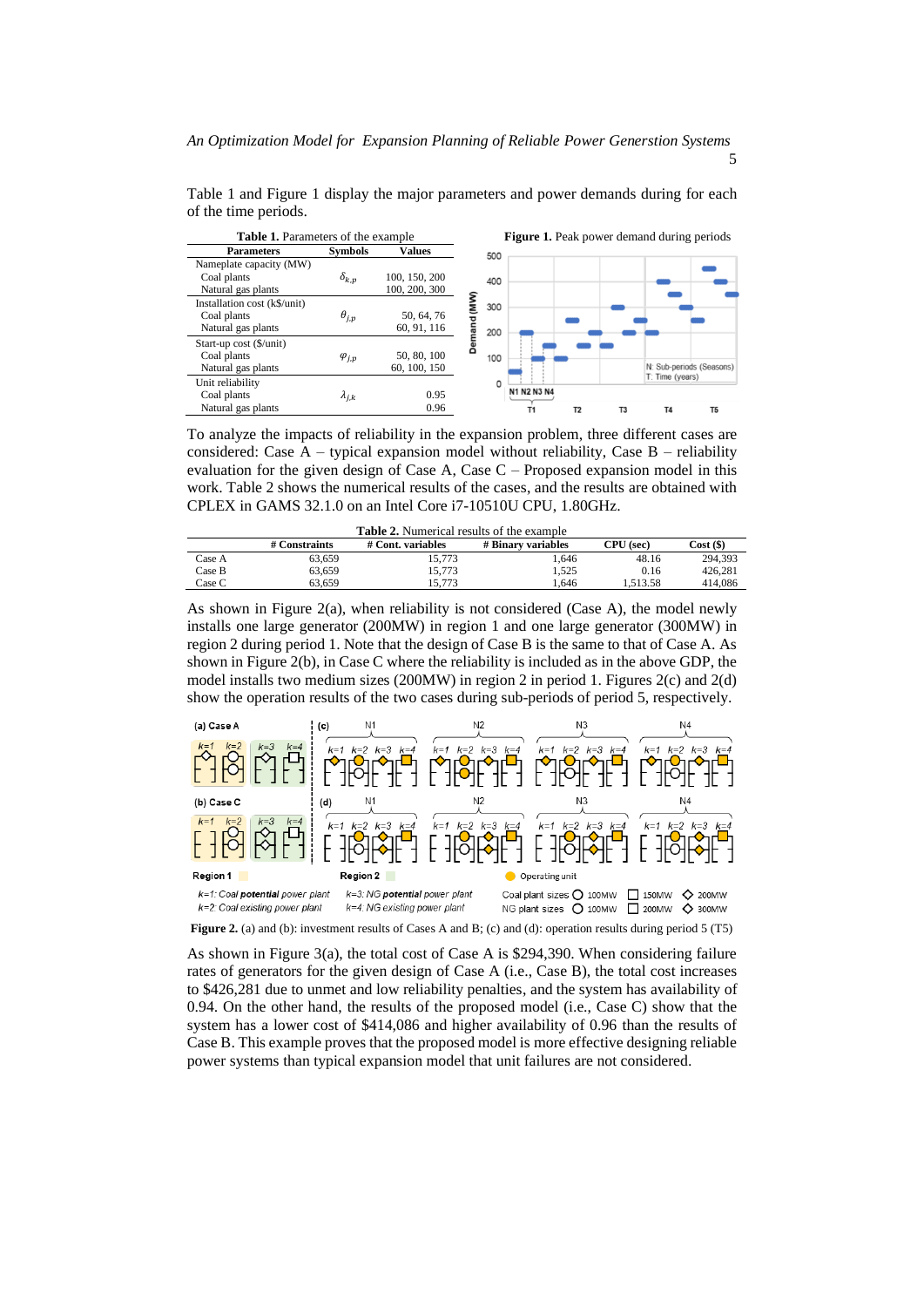5

| <b>Table 1.</b> Parameters of the example |                 |               |      | <b>Figure 1.</b> Peak power demand during periods |                |                |                |                 |                          |
|-------------------------------------------|-----------------|---------------|------|---------------------------------------------------|----------------|----------------|----------------|-----------------|--------------------------|
| <b>Parameters</b>                         | <b>Symbols</b>  | <b>Values</b> |      | 500                                               |                |                |                |                 |                          |
| Nameplate capacity (MW)                   |                 |               |      |                                                   |                |                |                |                 |                          |
| Coal plants                               | $\delta_{k,p}$  | 100, 150, 200 |      | 400                                               |                |                |                |                 |                          |
| Natural gas plants                        |                 | 100, 200, 300 |      |                                                   |                |                |                |                 |                          |
| Installation cost (k\$/unit)              |                 |               | (MW) | 300                                               |                |                |                |                 |                          |
| Coal plants                               | $\theta_{j,p}$  | 50, 64, 76    |      |                                                   |                |                |                |                 |                          |
| Natural gas plants                        |                 | 60, 91, 116   | and  | 200                                               |                |                |                |                 |                          |
| Start-up cost (\$/unit)                   |                 |               |      |                                                   |                |                |                |                 |                          |
| Coal plants                               | $\varphi_{j,p}$ | 50, 80, 100   |      | 100                                               |                |                |                |                 |                          |
| Natural gas plants                        |                 | 60, 100, 150  |      |                                                   |                |                |                |                 | N: Sub-periods (Seasons) |
| Unit reliability                          |                 |               |      | $\mathbf{0}$                                      |                |                |                | T: Time (years) |                          |
| Coal plants                               | $\lambda_{j,k}$ | 0.95          |      |                                                   | N1 N2 N3 N4    |                |                |                 |                          |
| Natural gas plants                        |                 | 0.96          |      |                                                   | T <sub>1</sub> | T <sub>2</sub> | T <sub>3</sub> | T <sub>4</sub>  | T <sub>5</sub>           |

Table 1 and Figure 1 display the major parameters and power demands during for each of the time periods.

To analyze the impacts of reliability in the expansion problem, three different cases are considered: Case  $A -$  typical expansion model without reliability, Case  $B -$  reliability evaluation for the given design of Case A, Case C – Proposed expansion model in this work. Table 2 shows the numerical results of the cases, and the results are obtained with CPLEX in GAMS 32.1.0 on an Intel Core i7-10510U CPU, 1.80GHz.

| <b>Table 2.</b> Numerical results of the example |               |                   |                    |           |           |  |  |  |  |  |  |
|--------------------------------------------------|---------------|-------------------|--------------------|-----------|-----------|--|--|--|--|--|--|
|                                                  | # Constraints | # Cont. variables | # Binary variables | CPU (sec) | Cost (\$) |  |  |  |  |  |  |
| Case A                                           | 63.659        | 15.773            | 1.646              | 48.16     | 294.393   |  |  |  |  |  |  |
| Case B                                           | 63.659        | 15.773            | 1.525              | 0.16      | 426.281   |  |  |  |  |  |  |
| Case C                                           | 63.659        | 15.773            | . 646              | 1.513.58  | 414,086   |  |  |  |  |  |  |

As shown in Figure 2(a), when reliability is not considered (Case A), the model newly installs one large generator (200MW) in region 1 and one large generator (300MW) in region 2 during period 1. Note that the design of Case B is the same to that of Case A. As shown in Figure 2(b), in Case C where the reliability is included as in the above GDP, the model installs two medium sizes (200MW) in region 2 in period 1. Figures 2(c) and 2(d) show the operation results of the two cases during sub-periods of period 5, respectively.



**Figure 2.** (a) and (b): investment results of Cases A and B; (c) and (d): operation results during period 5 (T5)

As shown in Figure 3(a), the total cost of Case A is \$294,390. When considering failure rates of generators for the given design of Case A (i.e., Case B), the total cost increases to \$426,281 due to unmet and low reliability penalties, and the system has availability of 0.94. On the other hand, the results of the proposed model (i.e., Case C) show that the system has a lower cost of \$414,086 and higher availability of 0.96 than the results of Case B. This example proves that the proposed model is more effective designing reliable power systems than typical expansion model that unit failures are not considered.